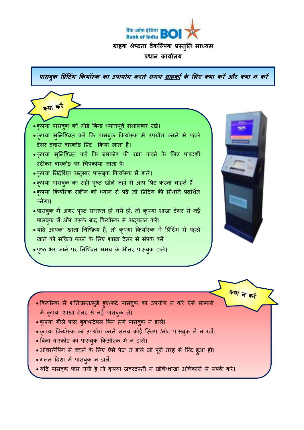

**िासबुक प्प्रटिं गिं ककयॉस्क का पिायगग कतते समय ग्राहकों के ललए क् या कतऔ त क् या न कतऔ**



- में कृपया शाखा टेलर से नई पासबुक लें।
- कृपया गीले पास बुक/स्टेपल पिन लगे पासबुक न डालें।
- कृपया कियॉस्क का उपयोग करते समय कोई स्लिप /नोट पासबुक में न रखें।
- बिना बारकोड का पासबुक किऑस्क में न डालें।
- ओवरलैंपिंग से बचने के लिए ऐसे पेज न डालें जो पूरी तरह से प्रिंट हआ हो।
- गलत दिशा में पासबुक न डालें।
- यदि पासबक फंस गयी है तो कुपया जबरदस्ती न खींचें/शाखा अधिकारी से संपर्क करें।